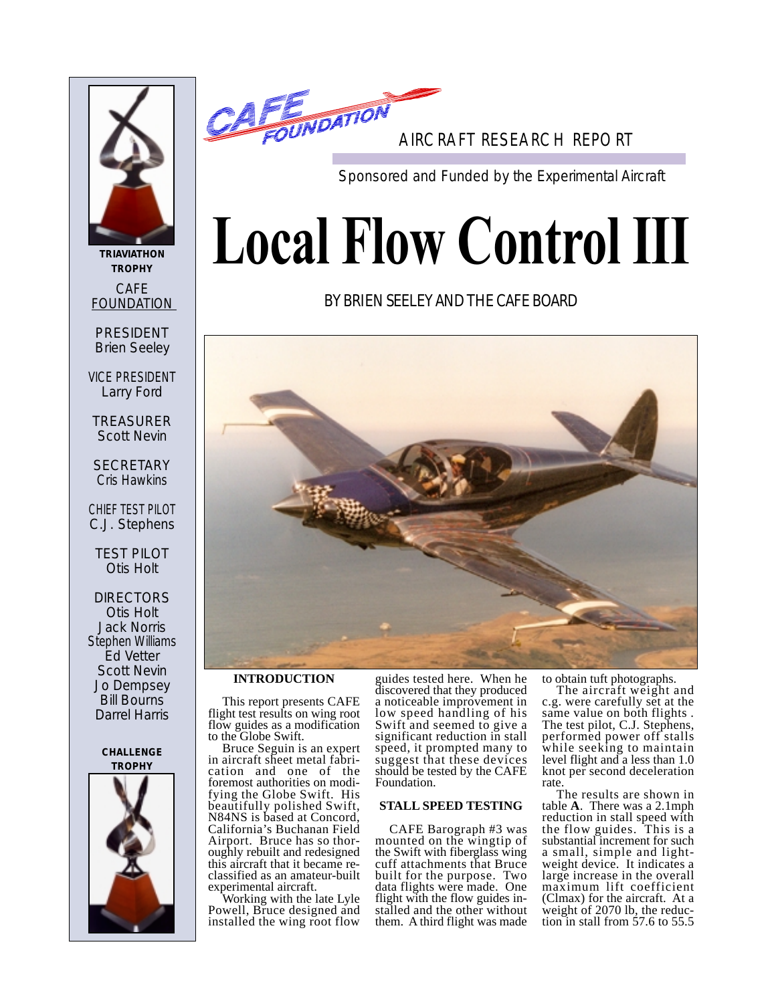

**TRIAVIATHON TROPHY** CAFE FOUNDATION

PRESIDENT Brien Seeley

VICE PRESIDENT Larry Ford

TREASURER Scott Nevin

**SECRETARY** Cris Hawkins

CHIEF TEST PILOT C.J. Stephens

TEST PILOT Otis Holt

DIRECTORS Otis Holt Jack Norris Stephen Williams Ed Vetter Scott Nevin Jo Dempsey Bill Bourns Darrel Harris

#### **CHALLENGE TROPHY**





Sponsored and Funded by the Experimental Aircraft

# **Local Flow Control III**

# BY BRIEN SEELEY AND THE CAFE BOARD



## **INTRODUCTION**

This report presents CAFE flight test results on wing root flow guides as a modification to the Globe Swift.

Bruce Seguin is an expert in aircraft sheet metal fabrication and one of the foremost authorities on modifying the Globe Swift. His beautifully polished Swift, N84NS is based at Concord, California's Buchanan Field Airport. Bruce has so thoroughly rebuilt and redesigned this aircraft that it became reclassified as an amateur-built experimental aircraft.

Working with the late Lyle Powell, Bruce designed and installed the wing root flow

guides tested here. When he discovered that they produced a noticeable improvement in low speed handling of his Swift and seemed to give a significant reduction in stall speed, it prompted many to suggest that these devices should be tested by the CAFE Foundation.

#### **STALL SPEED TESTING**

CAFE Barograph #3 was mounted on the wingtip of the Swift with fiberglass wing cuff attachments that Bruce built for the purpose. Two data flights were made. One flight with the flow guides installed and the other without them. A third flight was made to obtain tuft photographs.

The aircraft weight and c.g. were carefully set at the same value on both flights . The test pilot, C.J. Stephens, performed power off stalls while seeking to maintain level flight and a less than 1.0 knot per second deceleration rate.

The results are shown in table **A**. There was a 2.1mph reduction in stall speed with the flow guides. This is a substantial increment for such a small, simple and lightweight device. It indicates a large increase in the overall maximum lift coefficient (Clmax) for the aircraft. At a weight of 2070 lb, the reduction in stall from 57.6 to 55.5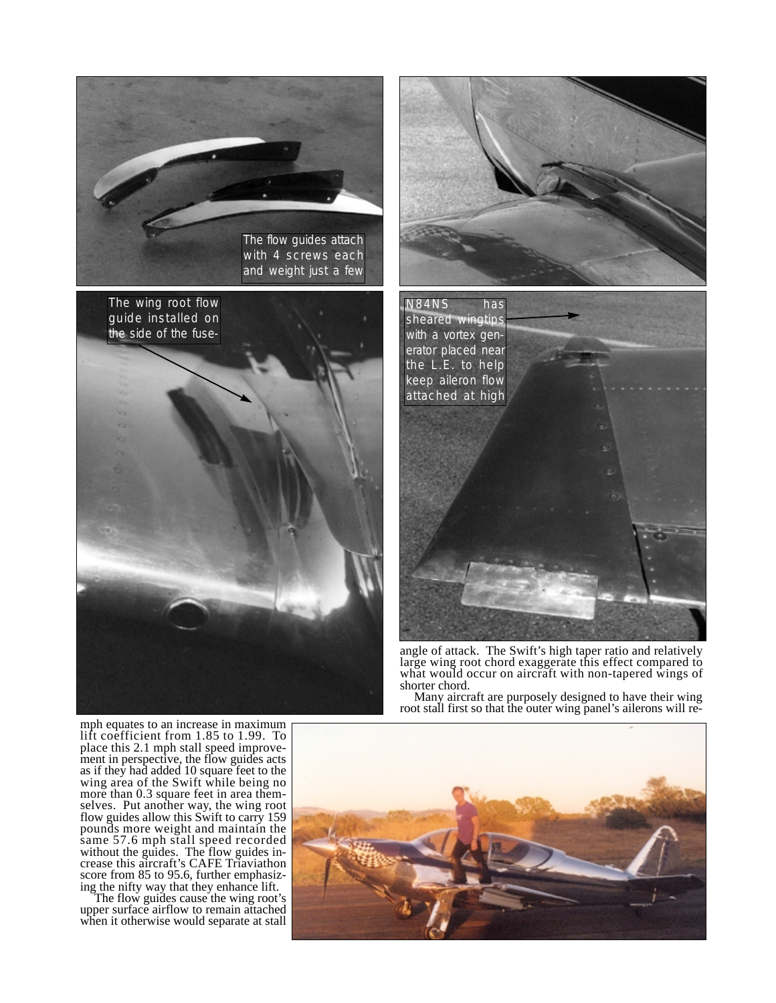

The wing root flow guide installed on the side of the fuse-



angle of attack. The Swift's high taper ratio and relatively large wing root chord exaggerate this effect compared to what would occur on aircraft with non-tapered wings of shorter chord.

Many aircraft are purposely designed to have their wing root stall first so that the outer wing panel's ailerons will re-

mph equates to an increase in maximum lift coefficient from 1.85 to 1.99. To place this 2.1 mph stall speed improvement in perspective, the flow guides acts as if they had added 10 square feet to the wing area of the Swift while being no more than 0.3 square feet in area themselves. Put another way, the wing root flow guides allow this Swift to carry 159 pounds more weight and maintain the same 57.6 mph stall speed recorded without the guides. The flow guides increase this aircraft's CAFE Triaviathon score from 85 to 95.6, further emphasizing the nifty way that they enhance lift.

The flow guides cause the wing root's upper surface airflow to remain attached when it otherwise would separate at stall

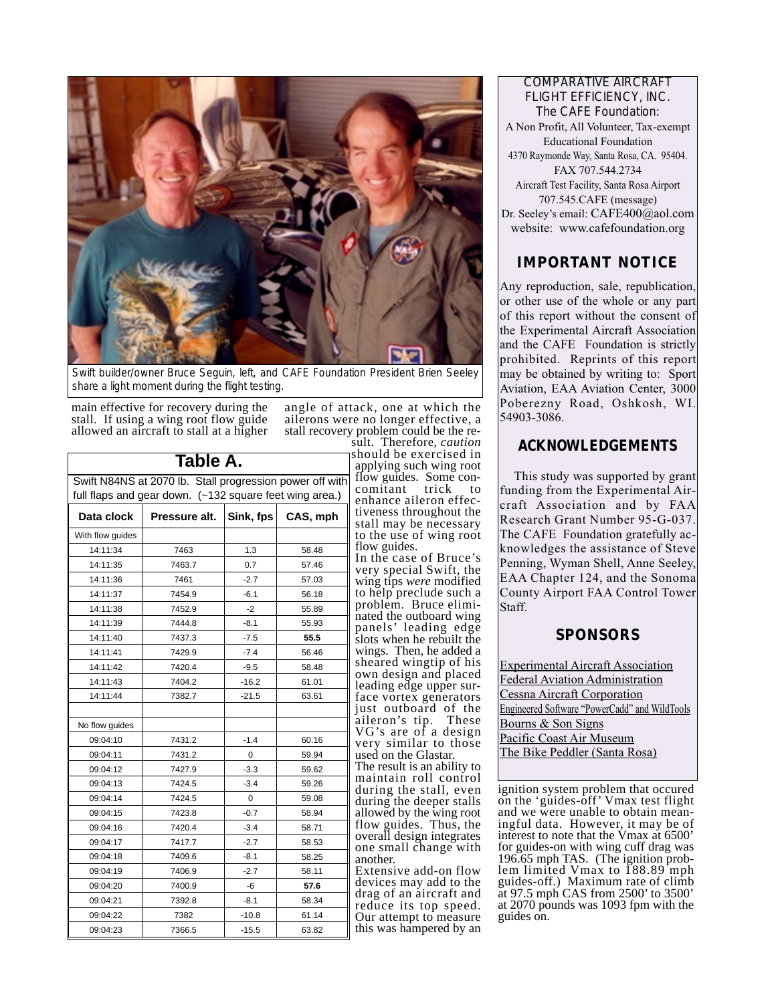

Swift builder/owner Bruce Seguin, left, and CAFE Foundation President Brien Seeley share a light moment during the flight testing.

main effective for recovery during the stall. If using a wing root flow guide allowed an aircraft to stall at a higher angle of attack, one at which the ailerons were no longer effective, a stall recovery problem could be the re-

| Table A.                                                |                                                          |           |          |
|---------------------------------------------------------|----------------------------------------------------------|-----------|----------|
|                                                         | Swift N84NS at 2070 lb. Stall progression power off with |           |          |
| full flaps and gear down. (~132 square feet wing area.) |                                                          |           |          |
| Data clock                                              | Pressure alt.                                            | Sink, fps | CAS, mph |
| With flow guides                                        |                                                          |           |          |
| 14:11:34                                                | 7463                                                     | 1.3       | 58.48    |
| 14:11:35                                                | 7463.7                                                   | 0.7       | 57.46    |
| 14:11:36                                                | 7461                                                     | $-2.7$    | 57.03    |
| 14:11:37                                                | 7454.9                                                   | $-6.1$    | 56.18    |
| 14:11:38                                                | 7452.9                                                   | $-2$      | 55.89    |
| 14:11:39                                                | 7444.8                                                   | $-8.1$    | 55.93    |
| 14:11:40                                                | 7437.3                                                   | $-7.5$    | 55.5     |
| 14:11:41                                                | 7429.9                                                   | $-7.4$    | 56.46    |
| 14:11:42                                                | 7420.4                                                   | $-9.5$    | 58.48    |
| 14:11:43                                                | 7404.2                                                   | $-16.2$   | 61.01    |
| 14:11:44                                                | 7382.7                                                   | $-21.5$   | 63.61    |
|                                                         |                                                          |           |          |
| No flow guides                                          |                                                          |           |          |
| 09:04:10                                                | 7431.2                                                   | $-1.4$    | 60.16    |
| 09:04:11                                                | 7431.2                                                   | 0         | 59.94    |
| 09:04:12                                                | 7427.9                                                   | $-3.3$    | 59.62    |
| 09:04:13                                                | 7424.5                                                   | $-3.4$    | 59.26    |
| 09:04:14                                                | 7424.5                                                   | 0         | 59.08    |
| 09:04:15                                                | 7423.8                                                   | $-0.7$    | 58.94    |
| 09:04:16                                                | 7420.4                                                   | $-3.4$    | 58.71    |
| 09:04:17                                                | 7417.7                                                   | $-2.7$    | 58.53    |
| 09:04:18                                                | 7409.6                                                   | $-8.1$    | 58.25    |
| 09:04:19                                                | 7406.9                                                   | $-2.7$    | 58.11    |
| 09:04:20                                                | 7400.9                                                   | -6        | 57.6     |
| 09:04:21                                                | 7392.8                                                   | $-8.1$    | 58.34    |
| 09:04:22                                                | 7382                                                     | $-10.8$   | 61.14    |
| 09:04:23                                                | 7366.5                                                   | $-15.5$   | 63.82    |
|                                                         |                                                          |           |          |

sult. Therefore, *caution*

ould be exercised in applying such wing root ow guides. Some concomitant trick to nhance aileron effecveness throughout the all may be necessary the use of wing root ow guides.

n the case of Bruce's ery special Swift, the wing tips *were* modified help preclude such a roblem. Bruce elimiated the outboard wing panels' leading edge ots when he rebuilt the ings. Then, he added a neared wingtip of his wn design and placed ading edge upper surce vortex generators just outboard of the aileron's tip. These G's are of a design ery similar to those sed on the Glastar.

The result is an ability to aintain roll control during the stall, even during the deeper stalls lowed by the wing root ow guides. Thus, the overall design integrates ne small change with another.

Extensive add-on flow evices may add to the rag of an aircraft and duce its top speed. ur attempt to measure is was hampered by an

COMPARATIVE AIRCRAFT FLIGHT EFFICIENCY, INC. The CAFE Foundation: A Non Profit, All Volunteer, Tax-exempt Educational Foundation 4370 Raymonde Way, Santa Rosa, CA. 95404. FAX 707.544.2734 Aircraft Test Facility, Santa Rosa Airport 707.545.CAFE (message) Dr. Seeley's email: CAFE400@aol.com website: www.cafefoundation.org

# **IMPORTANT NOTICE**

Any reproduction, sale, republication, or other use of the whole or any part of this report without the consent of the Experimental Aircraft Association and the CAFE Foundation is strictly prohibited. Reprints of this report may be obtained by writing to: Sport Aviation, EAA Aviation Center, 3000 Poberezny Road, Oshkosh, WI. 54903-3086.

## **ACKNOWLEDGEMENTS**

This study was supported by grant funding from the Experimental Aircraft Association and by FAA Research Grant Number 95-G-037. The CAFE Foundation gratefully acknowledges the assistance of Steve Penning, Wyman Shell, Anne Seeley, EAA Chapter 124, and the Sonoma County Airport FAA Control Tower Staff.

## **SPONSORS**

Experimental Aircraft Association Federal Aviation Administration Cessna Aircraft Corporation Engineered Software "PowerCadd" and WildTools Bourns & Son Signs Pacific Coast Air Museum The Bike Peddler (Santa Rosa)

ignition system problem that occured on the 'guides-off' Vmax test flight and we were unable to obtain meaningful data. However, it may be of interest to note that the Vmax at 6500' for guides-on with wing cuff drag was 196.65 mph TAS. (The ignition problem limited Vmax to 188.89 mph guides-off.) Maximum rate of climb at 97.5 mph CAS from 2500' to 3500' at 2070 pounds was 1093 fpm with the guides on.